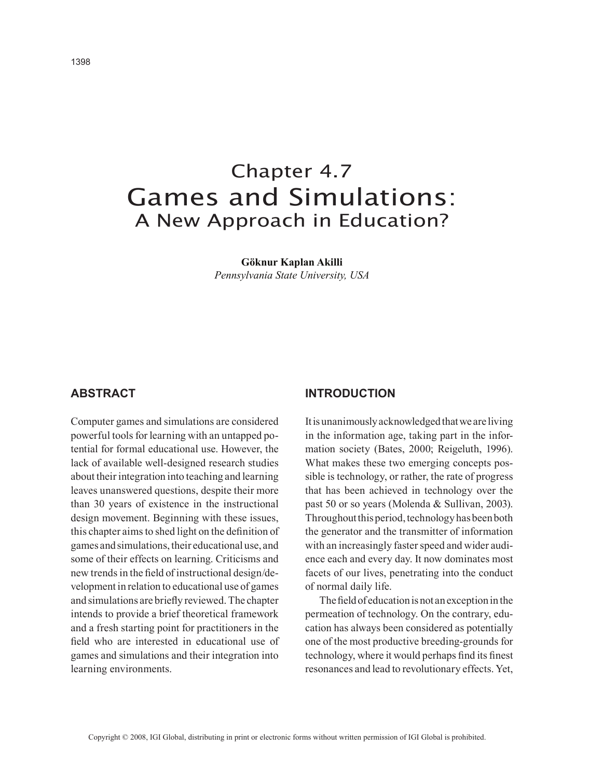# Chapter 4.7 Games and Simulations: A New Approach in Education?

**Göknur Kaplan Akilli** *Pennsylvania State University, USA*

### **AbstrAct**

Computer games and simulations are considered powerful tools for learning with an untapped potential for formal educational use. However, the lack of available well-designed research studies about their integration into teaching and learning leaves unanswered questions, despite their more than 30 years of existence in the instructional design movement. Beginning with these issues, this chapter aims to shed light on the definition of games and simulations, their educational use, and some of their effects on learning. Criticisms and new trends in the field of instructional design/development in relation to educational use of games and simulations are briefly reviewed. The chapter intends to provide a brief theoretical framework and a fresh starting point for practitioners in the field who are interested in educational use of games and simulations and their integration into learning environments.

#### **IntroductIon**

It is unanimously acknowledged that we are living in the information age, taking part in the information society (Bates, 2000; Reigeluth, 1996). What makes these two emerging concepts possible is technology, or rather, the rate of progress that has been achieved in technology over the past 50 or so years (Molenda & Sullivan, 2003). Throughout this period, technology has been both the generator and the transmitter of information with an increasingly faster speed and wider audience each and every day. It now dominates most facets of our lives, penetrating into the conduct of normal daily life.

The field of education is not an exception in the permeation of technology. On the contrary, education has always been considered as potentially one of the most productive breeding-grounds for technology, where it would perhaps find its finest resonances and lead to revolutionary effects. Yet,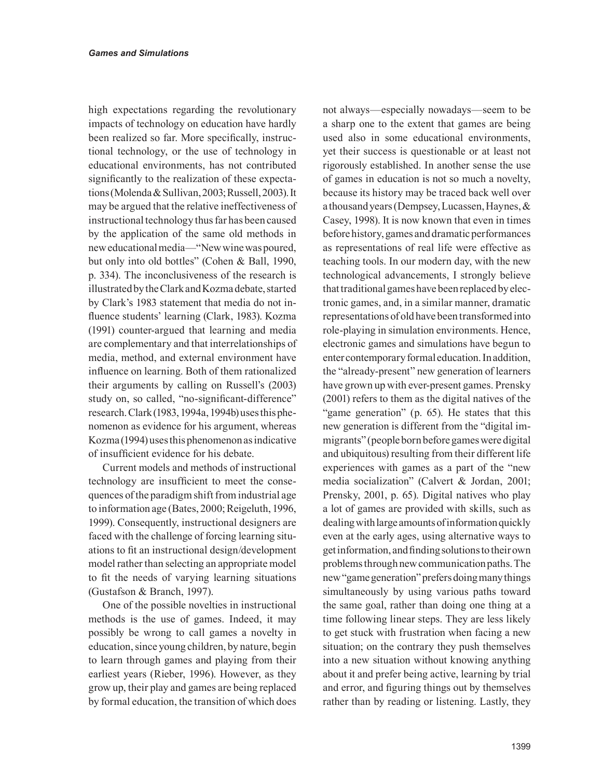high expectations regarding the revolutionary impacts of technology on education have hardly been realized so far. More specifically, instructional technology, or the use of technology in educational environments, has not contributed significantly to the realization of these expectations (Molenda & Sullivan, 2003; Russell, 2003). It may be argued that the relative ineffectiveness of instructional technology thus far has been caused by the application of the same old methods in new educational media—"New wine was poured, but only into old bottles" (Cohen & Ball, 1990, p. 334). The inconclusiveness of the research is illustrated by the Clark and Kozma debate, started by Clark's 1983 statement that media do not influence students' learning (Clark, 1983). Kozma (1991) counter-argued that learning and media are complementary and that interrelationships of media, method, and external environment have influence on learning. Both of them rationalized their arguments by calling on Russell's (2003) study on, so called, "no-significant-difference" research. Clark (1983, 1994a, 1994b) uses this phenomenon as evidence for his argument, whereas Kozma (1994) uses this phenomenon as indicative of insufficient evidence for his debate.

Current models and methods of instructional technology are insufficient to meet the consequences of the paradigm shift from industrial age to information age (Bates, 2000; Reigeluth, 1996, 1999). Consequently, instructional designers are faced with the challenge of forcing learning situations to fit an instructional design/development model rather than selecting an appropriate model to fit the needs of varying learning situations (Gustafson & Branch, 1997).

One of the possible novelties in instructional methods is the use of games. Indeed, it may possibly be wrong to call games a novelty in education, since young children, by nature, begin to learn through games and playing from their earliest years (Rieber, 1996). However, as they grow up, their play and games are being replaced by formal education, the transition of which does not always—especially nowadays—seem to be a sharp one to the extent that games are being used also in some educational environments, yet their success is questionable or at least not rigorously established. In another sense the use of games in education is not so much a novelty, because its history may be traced back well over a thousand years (Dempsey, Lucassen, Haynes, & Casey, 1998). It is now known that even in times before history, games and dramatic performances as representations of real life were effective as teaching tools. In our modern day, with the new technological advancements, I strongly believe that traditional games have been replaced by electronic games, and, in a similar manner, dramatic representations of old have been transformed into role-playing in simulation environments. Hence, electronic games and simulations have begun to enter contemporary formal education. In addition, the "already-present" new generation of learners have grown up with ever-present games. Prensky (2001) refers to them as the digital natives of the "game generation" (p. 65). He states that this new generation is different from the "digital immigrants" (people born before games were digital and ubiquitous) resulting from their different life experiences with games as a part of the "new media socialization" (Calvert & Jordan, 2001; Prensky, 2001, p. 65). Digital natives who play a lot of games are provided with skills, such as dealing with large amounts of information quickly even at the early ages, using alternative ways to get information, and finding solutions to their own problems through new communication paths. The new "game generation" prefers doing many things simultaneously by using various paths toward the same goal, rather than doing one thing at a time following linear steps. They are less likely to get stuck with frustration when facing a new situation; on the contrary they push themselves into a new situation without knowing anything about it and prefer being active, learning by trial and error, and figuring things out by themselves rather than by reading or listening. Lastly, they